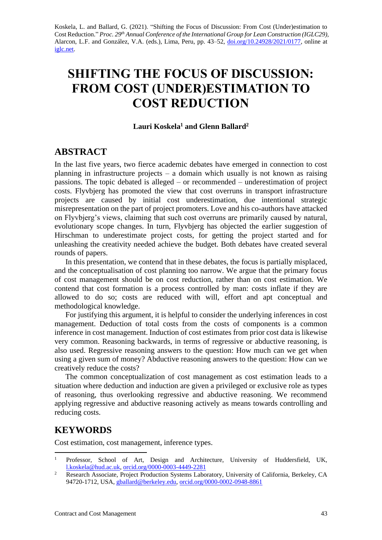Koskela, L. and Ballard, G. (2021). "Shifting the Focus of Discussion: From Cost (Under)estimation to Cost Reduction." *Proc. 29 th Annual Conference of the International Group for Lean Construction (IGLC29),*  Alarcon, L.F. and González, V.A. (eds.)*,* Lima, Peru, pp. 43–52, [doi.org/10.24928/2021/0177,](https://doi.org/10.24928/2021/0177) online at [iglc.net.](http://iglc.net/)

# **SHIFTING THE FOCUS OF DISCUSSION: FROM COST (UNDER)ESTIMATION TO COST REDUCTION**

#### **Lauri Koskela<sup>1</sup> and Glenn Ballard<sup>2</sup>**

# **ABSTRACT**

In the last five years, two fierce academic debates have emerged in connection to cost planning in infrastructure projects – a domain which usually is not known as raising passions. The topic debated is alleged – or recommended – underestimation of project costs. Flyvbjerg has promoted the view that cost overruns in transport infrastructure projects are caused by initial cost underestimation, due intentional strategic misrepresentation on the part of project promoters. Love and his co-authors have attacked on Flyvbjerg's views, claiming that such cost overruns are primarily caused by natural, evolutionary scope changes. In turn, Flyvbjerg has objected the earlier suggestion of Hirschman to underestimate project costs, for getting the project started and for unleashing the creativity needed achieve the budget. Both debates have created several rounds of papers.

In this presentation, we contend that in these debates, the focus is partially misplaced, and the conceptualisation of cost planning too narrow. We argue that the primary focus of cost management should be on cost reduction, rather than on cost estimation. We contend that cost formation is a process controlled by man: costs inflate if they are allowed to do so; costs are reduced with will, effort and apt conceptual and methodological knowledge.

For justifying this argument, it is helpful to consider the underlying inferences in cost management. Deduction of total costs from the costs of components is a common inference in cost management. Induction of cost estimates from prior cost data is likewise very common. Reasoning backwards, in terms of regressive or abductive reasoning, is also used. Regressive reasoning answers to the question: How much can we get when using a given sum of money? Abductive reasoning answers to the question: How can we creatively reduce the costs?

The common conceptualization of cost management as cost estimation leads to a situation where deduction and induction are given a privileged or exclusive role as types of reasoning, thus overlooking regressive and abductive reasoning. We recommend applying regressive and abductive reasoning actively as means towards controlling and reducing costs.

# **KEYWORDS**

Cost estimation, cost management, inference types.

<sup>&</sup>lt;sup>1</sup> Professor, School of Art, Design and Architecture, University of Huddersfield, UK, [l.koskela@hud.ac.uk,](mailto:l.koskela@hud.ac.uk) [orcid.org/0000-0003-4449-2281](https://orcid.org/0000-0003-4449-2281)

<sup>&</sup>lt;sup>2</sup> Research Associate, Project Production Systems Laboratory, University of California, Berkeley, CA 94720-1712, USA, [gballard@berkeley.edu,](mailto:gballard@berkeley.edu) [orcid.org/0000-0002-0948-8861](https://orcid.org/0000-0002-0948-8861)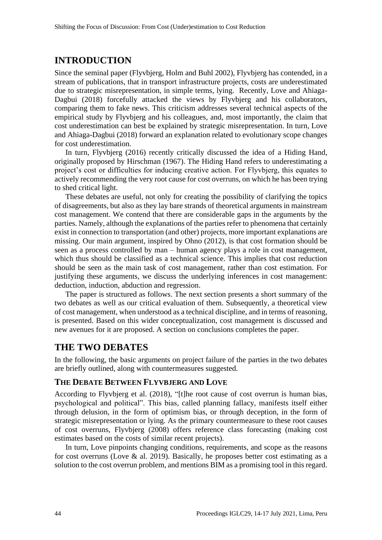# **INTRODUCTION**

Since the seminal paper (Flyvbjerg, Holm and Buhl 2002), Flyvbjerg has contended, in a stream of publications, that in transport infrastructure projects, costs are underestimated due to strategic misrepresentation, in simple terms, lying. Recently, Love and Ahiaga-Dagbui (2018) forcefully attacked the views by Flyvbjerg and his collaborators, comparing them to fake news. This criticism addresses several technical aspects of the empirical study by Flyvbjerg and his colleagues, and, most importantly, the claim that cost underestimation can best be explained by strategic misrepresentation. In turn, Love and Ahiaga-Dagbui (2018) forward an explanation related to evolutionary scope changes for cost underestimation.

In turn, Flyvbjerg (2016) recently critically discussed the idea of a Hiding Hand, originally proposed by Hirschman (1967). The Hiding Hand refers to underestimating a project's cost or difficulties for inducing creative action. For Flyvbjerg, this equates to actively recommending the very root cause for cost overruns, on which he has been trying to shed critical light.

These debates are useful, not only for creating the possibility of clarifying the topics of disagreements, but also as they lay bare strands of theoretical arguments in mainstream cost management. We contend that there are considerable gaps in the arguments by the parties. Namely, although the explanations of the parties refer to phenomena that certainly exist in connection to transportation (and other) projects, more important explanations are missing. Our main argument, inspired by Ohno (2012), is that cost formation should be seen as a process controlled by man – human agency plays a role in cost management, which thus should be classified as a technical science. This implies that cost reduction should be seen as the main task of cost management, rather than cost estimation. For justifying these arguments, we discuss the underlying inferences in cost management: deduction, induction, abduction and regression.

The paper is structured as follows. The next section presents a short summary of the two debates as well as our critical evaluation of them. Subsequently, a theoretical view of cost management, when understood as a technical discipline, and in terms of reasoning, is presented. Based on this wider conceptualization, cost management is discussed and new avenues for it are proposed. A section on conclusions completes the paper.

# **THE TWO DEBATES**

In the following, the basic arguments on project failure of the parties in the two debates are briefly outlined, along with countermeasures suggested.

### **THE DEBATE BETWEEN FLYVBJERG AND LOVE**

According to Flyvbjerg et al. (2018), "[t]he root cause of cost overrun is human bias, psychological and political". This bias, called planning fallacy, manifests itself either through delusion, in the form of optimism bias, or through deception, in the form of strategic misrepresentation or lying. As the primary countermeasure to these root causes of cost overruns, Flyvbjerg (2008) offers reference class forecasting (making cost estimates based on the costs of similar recent projects).

In turn, Love pinpoints changing conditions, requirements, and scope as the reasons for cost overruns (Love  $\&$  al. 2019). Basically, he proposes better cost estimating as a solution to the cost overrun problem, and mentions BIM as a promising tool in this regard.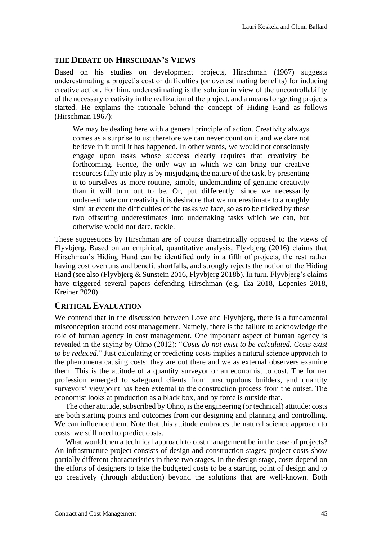### **THE DEBATE ON HIRSCHMAN'S VIEWS**

Based on his studies on development projects, Hirschman (1967) suggests underestimating a project's cost or difficulties (or overestimating benefits) for inducing creative action. For him, underestimating is the solution in view of the uncontrollability of the necessary creativity in the realization of the project, and a means for getting projects started. He explains the rationale behind the concept of Hiding Hand as follows (Hirschman 1967):

We may be dealing here with a general principle of action. Creativity always comes as a surprise to us; therefore we can never count on it and we dare not believe in it until it has happened. In other words, we would not consciously engage upon tasks whose success clearly requires that creativity be forthcoming. Hence, the only way in which we can bring our creative resources fully into play is by misjudging the nature of the task, by presenting it to ourselves as more routine, simple, undemanding of genuine creativity than it will turn out to be. Or, put differently: since we necessarily underestimate our creativity it is desirable that we underestimate to a roughly similar extent the difficulties of the tasks we face, so as to be tricked by these two offsetting underestimates into undertaking tasks which we can, but otherwise would not dare, tackle.

These suggestions by Hirschman are of course diametrically opposed to the views of Flyvbjerg. Based on an empirical, quantitative analysis, Flyvbjerg (2016) claims that Hirschman's Hiding Hand can be identified only in a fifth of projects, the rest rather having cost overruns and benefit shortfalls, and strongly rejects the notion of the Hiding Hand (see also (Flyvbjerg & Sunstein 2016, Flyvbjerg 2018b). In turn, Flyvbjerg's claims have triggered several papers defending Hirschman (e.g. Ika 2018, Lepenies 2018, Kreiner 2020).

### **CRITICAL EVALUATION**

We contend that in the discussion between Love and Flyvbjerg, there is a fundamental misconception around cost management. Namely, there is the failure to acknowledge the role of human agency in cost management. One important aspect of human agency is revealed in the saying by Ohno (2012): "*Costs do not exist to be calculated. Costs exist to be reduced*." Just calculating or predicting costs implies a natural science approach to the phenomena causing costs: they are out there and we as external observers examine them. This is the attitude of a quantity surveyor or an economist to cost. The former profession emerged to safeguard clients from unscrupulous builders, and quantity surveyors' viewpoint has been external to the construction process from the outset. The economist looks at production as a black box, and by force is outside that.

The other attitude, subscribed by Ohno, is the engineering (or technical) attitude: costs are both starting points and outcomes from our designing and planning and controlling. We can influence them. Note that this attitude embraces the natural science approach to costs: we still need to predict costs.

What would then a technical approach to cost management be in the case of projects? An infrastructure project consists of design and construction stages; project costs show partially different characteristics in these two stages. In the design stage, costs depend on the efforts of designers to take the budgeted costs to be a starting point of design and to go creatively (through abduction) beyond the solutions that are well-known. Both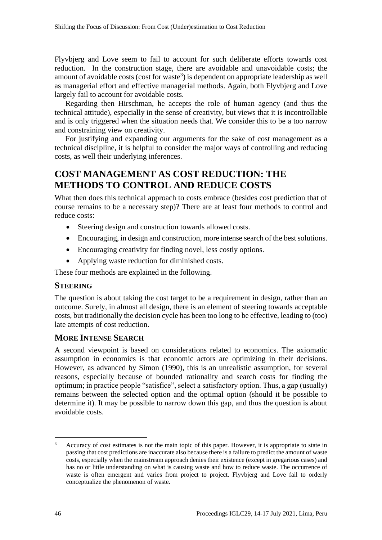Flyvbjerg and Love seem to fail to account for such deliberate efforts towards cost reduction. In the construction stage, there are avoidable and unavoidable costs; the amount of avoidable costs (cost for waste<sup>3</sup>) is dependent on appropriate leadership as well as managerial effort and effective managerial methods. Again, both Flyvbjerg and Love largely fail to account for avoidable costs.

Regarding then Hirschman, he accepts the role of human agency (and thus the technical attitude), especially in the sense of creativity, but views that it is incontrollable and is only triggered when the situation needs that. We consider this to be a too narrow and constraining view on creativity.

For justifying and expanding our arguments for the sake of cost management as a technical discipline, it is helpful to consider the major ways of controlling and reducing costs, as well their underlying inferences.

# **COST MANAGEMENT AS COST REDUCTION: THE METHODS TO CONTROL AND REDUCE COSTS**

What then does this technical approach to costs embrace (besides cost prediction that of course remains to be a necessary step)? There are at least four methods to control and reduce costs:

- Steering design and construction towards allowed costs.
- Encouraging, in design and construction, more intense search of the best solutions.
- Encouraging creativity for finding novel, less costly options.
- Applying waste reduction for diminished costs.

These four methods are explained in the following.

### **STEERING**

The question is about taking the cost target to be a requirement in design, rather than an outcome. Surely, in almost all design, there is an element of steering towards acceptable costs, but traditionally the decision cycle has been too long to be effective, leading to (too) late attempts of cost reduction.

### **MORE INTENSE SEARCH**

A second viewpoint is based on considerations related to economics. The axiomatic assumption in economics is that economic actors are optimizing in their decisions. However, as advanced by Simon (1990), this is an unrealistic assumption, for several reasons, especially because of bounded rationality and search costs for finding the optimum; in practice people "satisfice", select a satisfactory option. Thus, a gap (usually) remains between the selected option and the optimal option (should it be possible to determine it). It may be possible to narrow down this gap, and thus the question is about avoidable costs.

Accuracy of cost estimates is not the main topic of this paper. However, it is appropriate to state in passing that cost predictions are inaccurate also because there is a failure to predict the amount of waste costs, especially when the mainstream approach denies their existence (except in gregarious cases) and has no or little understanding on what is causing waste and how to reduce waste. The occurrence of waste is often emergent and varies from project to project. Flyvbjerg and Love fail to orderly conceptualize the phenomenon of waste.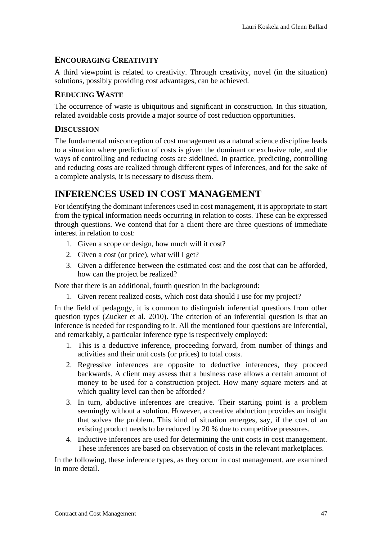### **ENCOURAGING CREATIVITY**

A third viewpoint is related to creativity. Through creativity, novel (in the situation) solutions, possibly providing cost advantages, can be achieved.

### **REDUCING WASTE**

The occurrence of waste is ubiquitous and significant in construction. In this situation, related avoidable costs provide a major source of cost reduction opportunities.

### **DISCUSSION**

The fundamental misconception of cost management as a natural science discipline leads to a situation where prediction of costs is given the dominant or exclusive role, and the ways of controlling and reducing costs are sidelined. In practice, predicting, controlling and reducing costs are realized through different types of inferences, and for the sake of a complete analysis, it is necessary to discuss them.

# **INFERENCES USED IN COST MANAGEMENT**

For identifying the dominant inferences used in cost management, it is appropriate to start from the typical information needs occurring in relation to costs. These can be expressed through questions. We contend that for a client there are three questions of immediate interest in relation to cost:

- 1. Given a scope or design, how much will it cost?
- 2. Given a cost (or price), what will I get?
- 3. Given a difference between the estimated cost and the cost that can be afforded, how can the project be realized?

Note that there is an additional, fourth question in the background:

1. Given recent realized costs, which cost data should I use for my project?

In the field of pedagogy, it is common to distinguish inferential questions from other question types (Zucker et al. 2010). The criterion of an inferential question is that an inference is needed for responding to it. All the mentioned four questions are inferential, and remarkably, a particular inference type is respectively employed:

- 1. This is a deductive inference, proceeding forward, from number of things and activities and their unit costs (or prices) to total costs.
- 2. Regressive inferences are opposite to deductive inferences, they proceed backwards. A client may assess that a business case allows a certain amount of money to be used for a construction project. How many square meters and at which quality level can then be afforded?
- 3. In turn, abductive inferences are creative. Their starting point is a problem seemingly without a solution. However, a creative abduction provides an insight that solves the problem. This kind of situation emerges, say, if the cost of an existing product needs to be reduced by 20 % due to competitive pressures.
- 4. Inductive inferences are used for determining the unit costs in cost management. These inferences are based on observation of costs in the relevant marketplaces.

In the following, these inference types, as they occur in cost management, are examined in more detail.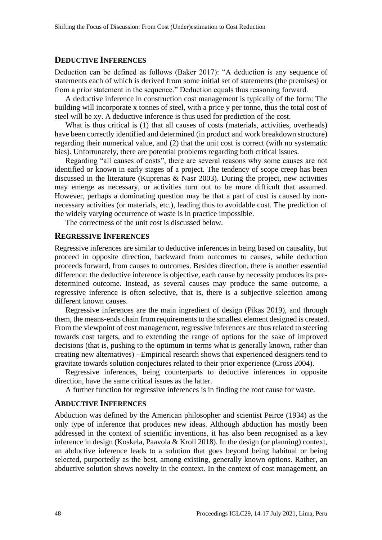#### **DEDUCTIVE INFERENCES**

Deduction can be defined as follows (Baker 2017): "A deduction is any sequence of statements each of which is derived from some initial set of statements (the premises) or from a prior statement in the sequence." Deduction equals thus reasoning forward.

A deductive inference in construction cost management is typically of the form: The building will incorporate x tonnes of steel, with a price y per tonne, thus the total cost of steel will be xy. A deductive inference is thus used for prediction of the cost.

What is thus critical is (1) that all causes of costs (materials, activities, overheads) have been correctly identified and determined (in product and work breakdown structure) regarding their numerical value, and (2) that the unit cost is correct (with no systematic bias). Unfortunately, there are potential problems regarding both critical issues.

Regarding "all causes of costs", there are several reasons why some causes are not identified or known in early stages of a project. The tendency of scope creep has been discussed in the literature (Kuprenas & Nasr 2003). During the project, new activities may emerge as necessary, or activities turn out to be more difficult that assumed. However, perhaps a dominating question may be that a part of cost is caused by nonnecessary activities (or materials, etc.), leading thus to avoidable cost. The prediction of the widely varying occurrence of waste is in practice impossible.

The correctness of the unit cost is discussed below.

#### **REGRESSIVE INFERENCES**

Regressive inferences are similar to deductive inferences in being based on causality, but proceed in opposite direction, backward from outcomes to causes, while deduction proceeds forward, from causes to outcomes. Besides direction, there is another essential difference: the deductive inference is objective, each cause by necessity produces its predetermined outcome. Instead, as several causes may produce the same outcome, a regressive inference is often selective, that is, there is a subjective selection among different known causes.

Regressive inferences are the main ingredient of design (Pikas 2019), and through them, the means-ends chain from requirements to the smallest element designed is created. From the viewpoint of cost management, regressive inferences are thus related to steering towards cost targets, and to extending the range of options for the sake of improved decisions (that is, pushing to the optimum in terms what is generally known, rather than creating new alternatives) - Empirical research shows that experienced designers tend to gravitate towards solution conjectures related to their prior experience (Cross 2004).

Regressive inferences, being counterparts to deductive inferences in opposite direction, have the same critical issues as the latter.

A further function for regressive inferences is in finding the root cause for waste.

#### **ABDUCTIVE INFERENCES**

Abduction was defined by the American philosopher and scientist Peirce (1934) as the only type of inference that produces new ideas. Although abduction has mostly been addressed in the context of scientific inventions, it has also been recognised as a key inference in design (Koskela, Paavola & Kroll 2018). In the design (or planning) context, an abductive inference leads to a solution that goes beyond being habitual or being selected, purportedly as the best, among existing, generally known options. Rather, an abductive solution shows novelty in the context. In the context of cost management, an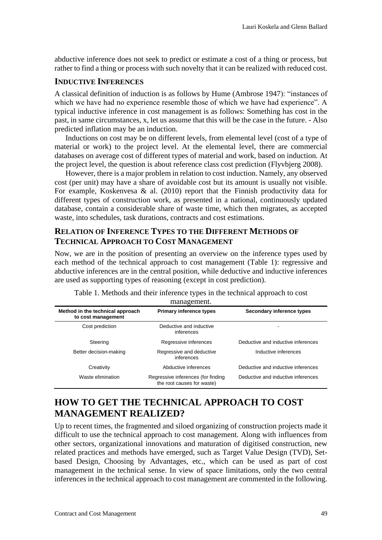abductive inference does not seek to predict or estimate a cost of a thing or process, but rather to find a thing or process with such novelty that it can be realized with reduced cost.

### **INDUCTIVE INFERENCES**

A classical definition of induction is as follows by Hume (Ambrose 1947): "instances of which we have had no experience resemble those of which we have had experience". A typical inductive inference in cost management is as follows: Something has cost in the past, in same circumstances, x, let us assume that this will be the case in the future. - Also predicted inflation may be an induction.

Inductions on cost may be on different levels, from elemental level (cost of a type of material or work) to the project level. At the elemental level, there are commercial databases on average cost of different types of material and work, based on induction. At the project level, the question is about reference class cost prediction (Flyvbjerg 2008).

However, there is a major problem in relation to cost induction. Namely, any observed cost (per unit) may have a share of avoidable cost but its amount is usually not visible. For example, Koskenvesa & al. (2010) report that the Finnish productivity data for different types of construction work, as presented in a national, continuously updated database, contain a considerable share of waste time, which then migrates, as accepted waste, into schedules, task durations, contracts and cost estimations.

## **RELATION OF INFERENCE TYPES TO THE DIFFERENT METHODS OF TECHNICAL APPROACH TO COST MANAGEMENT**

Now, we are in the position of presenting an overview on the inference types used by each method of the technical approach to cost management (Table 1): regressive and abductive inferences are in the central position, while deductive and inductive inferences are used as supporting types of reasoning (except in cost prediction).

| management.                                            |                                                                  |                                    |  |  |
|--------------------------------------------------------|------------------------------------------------------------------|------------------------------------|--|--|
| Method in the technical approach<br>to cost management | <b>Primary inference types</b>                                   | Secondary inference types          |  |  |
| Cost prediction                                        | Deductive and inductive<br>inferences                            |                                    |  |  |
| Steering                                               | Regressive inferences                                            | Deductive and inductive inferences |  |  |
| Better decision-making                                 | Regressive and deductive<br>inferences                           | Inductive inferences               |  |  |
| Creativity                                             | Abductive inferences                                             | Deductive and inductive inferences |  |  |
| Waste elimination                                      | Regressive inferences (for finding<br>the root causes for waste) | Deductive and inductive inferences |  |  |

| Table 1. Methods and their inference types in the technical approach to cost |  |  |
|------------------------------------------------------------------------------|--|--|
| managament                                                                   |  |  |

# **HOW TO GET THE TECHNICAL APPROACH TO COST MANAGEMENT REALIZED?**

Up to recent times, the fragmented and siloed organizing of construction projects made it difficult to use the technical approach to cost management. Along with influences from other sectors, organizational innovations and maturation of digitised construction, new related practices and methods have emerged, such as Target Value Design (TVD), Setbased Design, Choosing by Advantages, etc., which can be used as part of cost management in the technical sense. In view of space limitations, only the two central inferences in the technical approach to cost management are commented in the following.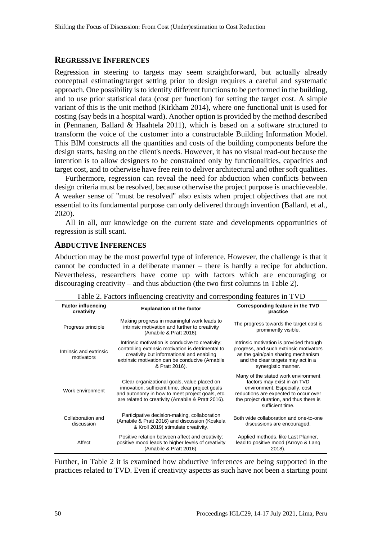#### **REGRESSIVE INFERENCES**

Regression in steering to targets may seem straightforward, but actually already conceptual estimating/target setting prior to design requires a careful and systematic approach. One possibility is to identify different functions to be performed in the building, and to use prior statistical data (cost per function) for setting the target cost. A simple variant of this is the unit method (Kirkham 2014), where one functional unit is used for costing (say beds in a hospital ward). Another option is provided by the method described in (Pennanen, Ballard & Haahtela 2011), which is based on a software structured to transform the voice of the customer into a constructable Building Information Model. This BIM constructs all the quantities and costs of the building components before the design starts, basing on the client's needs. However, it has no visual read-out because the intention is to allow designers to be constrained only by functionalities, capacities and target cost, and to otherwise have free rein to deliver architectural and other soft qualities.

Furthermore, regression can reveal the need for abduction when conflicts between design criteria must be resolved, because otherwise the project purpose is unachieveable. A weaker sense of "must be resolved" also exists when project objectives that are not essential to its fundamental purpose can only delivered through invention (Ballard, et al., 2020).

All in all, our knowledge on the current state and developments opportunities of regression is still scant.

### **ABDUCTIVE INFERENCES**

Abduction may be the most powerful type of inference. However, the challenge is that it cannot be conducted in a deliberate manner – there is hardly a recipe for abduction. Nevertheless, researchers have come up with factors which are encouraging or discouraging creativity – and thus abduction (the two first columns in Table 2).

| <b>Factor influencing</b><br>creativity | <b>Explanation of the factor</b>                                                                                                                                                                                        | Corresponding feature in the TVD<br>practice                                                                                                                                                                |
|-----------------------------------------|-------------------------------------------------------------------------------------------------------------------------------------------------------------------------------------------------------------------------|-------------------------------------------------------------------------------------------------------------------------------------------------------------------------------------------------------------|
| Progress principle                      | Making progress in meaningful work leads to<br>intrinsic motivation and further to creativity<br>(Amabile & Pratt 2016).                                                                                                | The progress towards the target cost is<br>prominently visible.                                                                                                                                             |
| Intrinsic and extrinsic<br>motivators   | Intrinsic motivation is conducive to creativity;<br>controlling extrinsic motivation is detrimental to<br>creativity but informational and enabling<br>extrinsic motivation can be conducive (Amabile<br>& Pratt 2016). | Intrinsic motivation is provided through<br>progress, and such extrinsic motivators<br>as the gain/pain sharing mechanism<br>and the clear targets may act in a<br>synergistic manner.                      |
| Work environment                        | Clear organizational goals, value placed on<br>innovation, sufficient time, clear project goals<br>and autonomy in how to meet project goals, etc.<br>are related to creativity (Amabile & Pratt 2016).                 | Many of the stated work environment<br>factors may exist in an TVD<br>environment. Especially, cost<br>reductions are expected to occur over<br>the project duration, and thus there is<br>sufficient time. |
| Collaboration and<br>discussion         | Participative decision-making, collaboration<br>(Amabile & Pratt 2016) and discussion (Koskela<br>& Kroll 2019) stimulate creativity.                                                                                   | Both wide collaboration and one-to-one<br>discussions are encouraged.                                                                                                                                       |
| Affect                                  | Positive relation between affect and creativity:<br>positive mood leads to higher levels of creativity<br>(Amabile & Pratt 2016).                                                                                       | Applied methods, like Last Planner,<br>lead to positive mood (Arroyo & Lang<br>2018).                                                                                                                       |

Table 2. Factors influencing creativity and corresponding features in TVD

Further, in Table 2 it is examined how abductive inferences are being supported in the practices related to TVD. Even if creativity aspects as such have not been a starting point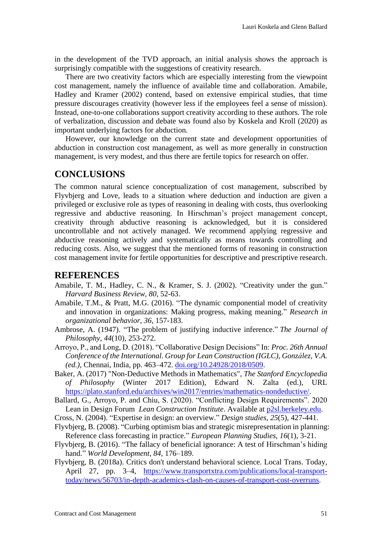in the development of the TVD approach, an initial analysis shows the approach is surprisingly compatible with the suggestions of creativity research.

There are two creativity factors which are especially interesting from the viewpoint cost management, namely the influence of available time and collaboration. Amabile, Hadley and Kramer (2002) contend, based on extensive empirical studies, that time pressure discourages creativity (however less if the employees feel a sense of mission). Instead, one-to-one collaborations support creativity according to these authors. The role of verbalization, discussion and debate was found also by Koskela and Kroll (2020) as important underlying factors for abduction.

However, our knowledge on the current state and development opportunities of abduction in construction cost management, as well as more generally in construction management, is very modest, and thus there are fertile topics for research on offer.

# **CONCLUSIONS**

The common natural science conceptualization of cost management, subscribed by Flyvbjerg and Love, leads to a situation where deduction and induction are given a privileged or exclusive role as types of reasoning in dealing with costs, thus overlooking regressive and abductive reasoning. In Hirschman's project management concept, creativity through abductive reasoning is acknowledged, but it is considered uncontrollable and not actively managed. We recommend applying regressive and abductive reasoning actively and systematically as means towards controlling and reducing costs. Also, we suggest that the mentioned forms of reasoning in construction cost management invite for fertile opportunities for descriptive and prescriptive research.

# **REFERENCES**

- Amabile, T. M., Hadley, C. N., & Kramer, S. J. (2002). "Creativity under the gun." *Harvard Business Review*, *80*, 52-63.
- Amabile, T.M., & Pratt, M.G. (2016). "The dynamic componential model of creativity and innovation in organizations: Making progress, making meaning." *Research in organizational behavior*, *36*, 157-183.
- Ambrose, A. (1947). "The problem of justifying inductive inference." *The Journal of Philosophy*, *44*(10), 253-272.
- Arroyo, P., and Long, D. (2018). "Collaborative Design Decisions" In: *Proc. 26th Annual Conference of the International. Group for Lean Construction (IGLC), González, V.A. (ed.)*, Chennai, India, pp. 463–472. [doi.org/10.24928/2018/0509.](https://doi.org/10.24928/2018/0509)
- Baker, A. (2017) "Non-Deductive Methods in Mathematics", *The Stanford Encyclopedia of Philosophy* (Winter 2017 Edition), Edward N. Zalta (ed.), URL [https://plato.stanford.edu/archives/win2017/entries/mathematics-nondeductive/.](https://plato.stanford.edu/archives/win2017/entries/mathematics-nondeductive/)
- Ballard, G., Arroyo, P. and Chiu, S. (2020). "Conflicting Design Requirements". 2020 Lean in Design Forum *Lean Construction Institute*. Available at [p2sl.berkeley.edu.](https://p2sl.berkeley.edu/)
- Cross, N. (2004). "Expertise in design: an overview." *Design studies*, *25*(5), 427-441.
- Flyvbjerg, B. (2008). "Curbing optimism bias and strategic misrepresentation in planning: Reference class forecasting in practice." *European Planning Studies*, *16*(1), 3-21.
- Flyvbjerg, B. (2016). "The fallacy of beneficial ignorance: A test of Hirschman's hiding hand." *World Development*, *84*, 176–189.
- Flyvbjerg, B. (2018a). Critics don't understand behavioral science. Local Trans. Today, April 27, pp. 3–4, [https://www.transportxtra.com/publications/local-transport](https://www.transportxtra.com/publications/local-transport-today/news/56703/in-depth-academics-clash-on-causes-of-transport-cost-overruns)[today/news/56703/in-depth-academics-clash-on-causes-of-transport-cost-overruns.](https://www.transportxtra.com/publications/local-transport-today/news/56703/in-depth-academics-clash-on-causes-of-transport-cost-overruns)